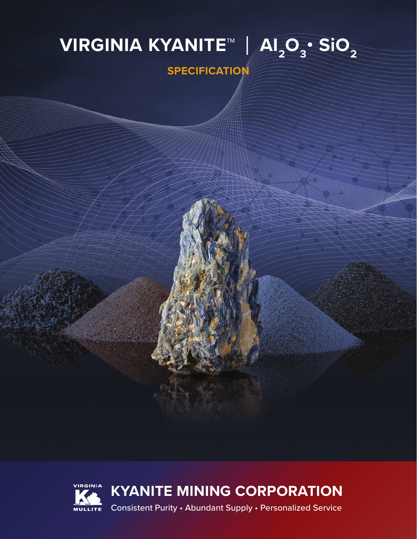# **VIRGINIA KYANITE™ | AI<sub>2</sub>O<sub>3</sub>• SiO<sub>2</sub> SPECIFICATION**